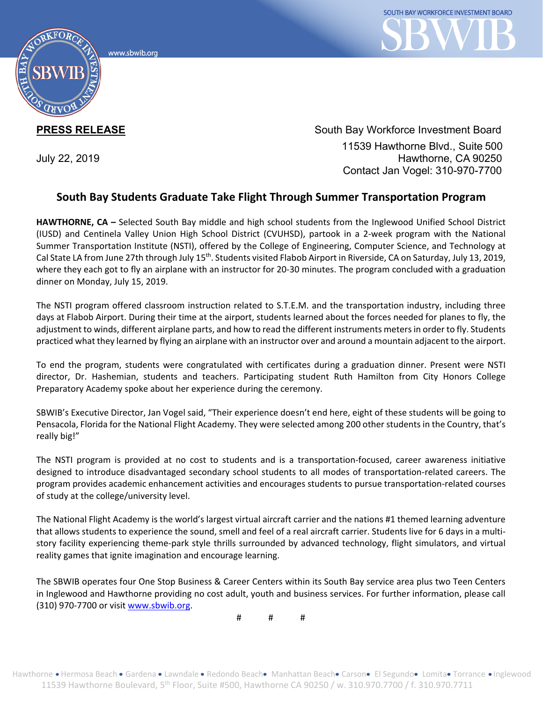www.sbwib.orc



**PRESS RELEASE** South Bay Workforce Investment Board 11539 Hawthorne Blvd., Suite 500 July 22, 2019 Hawthorne, CA 90250 Contact Jan Vogel: 310-970-7700

## **South Bay Students Graduate Take Flight Through Summer Transportation Program**

**HAWTHORNE, CA –** Selected South Bay middle and high school students from the Inglewood Unified School District (IUSD) and Centinela Valley Union High School District (CVUHSD), partook in a 2-week program with the National Summer Transportation Institute (NSTI), offered by the College of Engineering, Computer Science, and Technology at Cal State LA from June 27th through July  $15<sup>th</sup>$ . Students visited Flabob Airport in Riverside, CA on Saturday, July 13, 2019, where they each got to fly an airplane with an instructor for 20-30 minutes. The program concluded with a graduation dinner on Monday, July 15, 2019.

The NSTI program offered classroom instruction related to S.T.E.M. and the transportation industry, including three days at Flabob Airport. During their time at the airport, students learned about the forces needed for planes to fly, the adjustment to winds, different airplane parts, and how to read the different instruments meters in order to fly. Students practiced what they learned by flying an airplane with an instructor over and around a mountain adjacent to the airport.

To end the program, students were congratulated with certificates during a graduation dinner. Present were NSTI director, Dr. Hashemian, students and teachers. Participating student Ruth Hamilton from City Honors College Preparatory Academy spoke about her experience during the ceremony.

SBWIB's Executive Director, Jan Vogel said, "Their experience doesn't end here, eight of these students will be going to Pensacola, Florida for the National Flight Academy. They were selected among 200 other students in the Country, that's really big!"

The NSTI program is provided at no cost to students and is a transportation-focused, career awareness initiative designed to introduce disadvantaged secondary school students to all modes of transportation-related careers. The program provides academic enhancement activities and encourages students to pursue transportation-related courses of study at the college/university level.

The National Flight Academy is the world's largest virtual aircraft carrier and the nations #1 themed learning adventure that allows students to experience the sound, smell and feel of a real aircraft carrier. Students live for 6 days in a multistory facility experiencing theme-park style thrills surrounded by advanced technology, flight simulators, and virtual reality games that ignite imagination and encourage learning.

The SBWIB operates four One Stop Business & Career Centers within its South Bay service area plus two Teen Centers in Inglewood and Hawthorne providing no cost adult, youth and business services. For further information, please call (310) 970-7700 or visit [www.sbwib.org.](http://www.sbwib.org/)

# # #